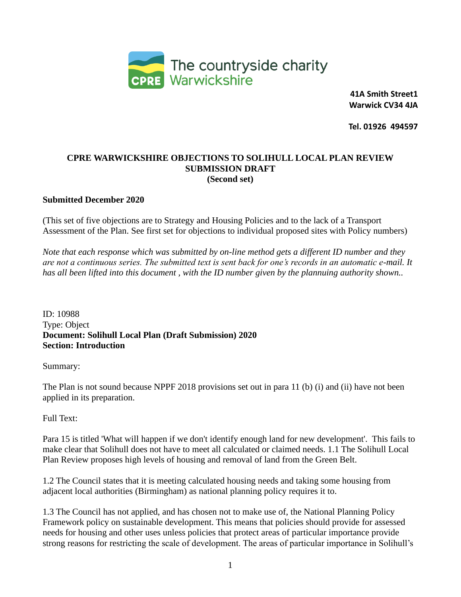

 **41A Smith Street1 Warwick CV34 4JA**

 **Tel. 01926 494597**

#### **CPRE WARWICKSHIRE OBJECTIONS TO SOLIHULL LOCAL PLAN REVIEW SUBMISSION DRAFT (Second set)**

#### **Submitted December 2020**

(This set of five objections are to Strategy and Housing Policies and to the lack of a Transport Assessment of the Plan. See first set for objections to individual proposed sites with Policy numbers)

*Note that each response which was submitted by on-line method gets a different ID number and they are not a continuous series. The submitted text is sent back for one's records in an automatic e-mail. It has all been lifted into this document , with the ID number given by the plannuing authority shown..*

ID: 10988 Type: Object **Document: Solihull Local Plan (Draft Submission) 2020 Section: Introduction**

Summary:

The Plan is not sound because NPPF 2018 provisions set out in para 11 (b) (i) and (ii) have not been applied in its preparation.

#### Full Text:

Para 15 is titled 'What will happen if we don't identify enough land for new development'. This fails to make clear that Solihull does not have to meet all calculated or claimed needs. 1.1 The Solihull Local Plan Review proposes high levels of housing and removal of land from the Green Belt.

1.2 The Council states that it is meeting calculated housing needs and taking some housing from adjacent local authorities (Birmingham) as national planning policy requires it to.

1.3 The Council has not applied, and has chosen not to make use of, the National Planning Policy Framework policy on sustainable development. This means that policies should provide for assessed needs for housing and other uses unless policies that protect areas of particular importance provide strong reasons for restricting the scale of development. The areas of particular importance in Solihull's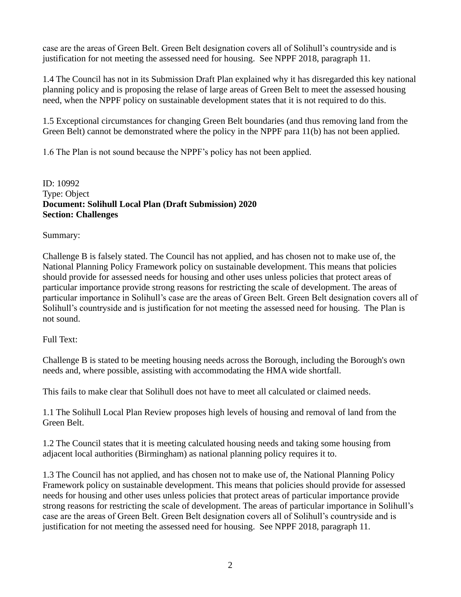case are the areas of Green Belt. Green Belt designation covers all of Solihull's countryside and is justification for not meeting the assessed need for housing. See NPPF 2018, paragraph 11.

1.4 The Council has not in its Submission Draft Plan explained why it has disregarded this key national planning policy and is proposing the relase of large areas of Green Belt to meet the assessed housing need, when the NPPF policy on sustainable development states that it is not required to do this.

1.5 Exceptional circumstances for changing Green Belt boundaries (and thus removing land from the Green Belt) cannot be demonstrated where the policy in the NPPF para 11(b) has not been applied.

1.6 The Plan is not sound because the NPPF's policy has not been applied.

ID: 10992 Type: Object **Document: Solihull Local Plan (Draft Submission) 2020 Section: Challenges**

Summary:

Challenge B is falsely stated. The Council has not applied, and has chosen not to make use of, the National Planning Policy Framework policy on sustainable development. This means that policies should provide for assessed needs for housing and other uses unless policies that protect areas of particular importance provide strong reasons for restricting the scale of development. The areas of particular importance in Solihull's case are the areas of Green Belt. Green Belt designation covers all of Solihull's countryside and is justification for not meeting the assessed need for housing. The Plan is not sound.

### Full Text:

Challenge B is stated to be meeting housing needs across the Borough, including the Borough's own needs and, where possible, assisting with accommodating the HMA wide shortfall.

This fails to make clear that Solihull does not have to meet all calculated or claimed needs.

1.1 The Solihull Local Plan Review proposes high levels of housing and removal of land from the Green Belt.

1.2 The Council states that it is meeting calculated housing needs and taking some housing from adjacent local authorities (Birmingham) as national planning policy requires it to.

1.3 The Council has not applied, and has chosen not to make use of, the National Planning Policy Framework policy on sustainable development. This means that policies should provide for assessed needs for housing and other uses unless policies that protect areas of particular importance provide strong reasons for restricting the scale of development. The areas of particular importance in Solihull's case are the areas of Green Belt. Green Belt designation covers all of Solihull's countryside and is justification for not meeting the assessed need for housing. See NPPF 2018, paragraph 11.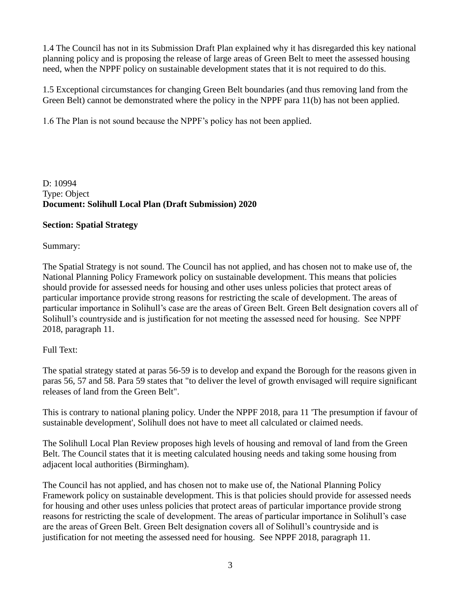1.4 The Council has not in its Submission Draft Plan explained why it has disregarded this key national planning policy and is proposing the release of large areas of Green Belt to meet the assessed housing need, when the NPPF policy on sustainable development states that it is not required to do this.

1.5 Exceptional circumstances for changing Green Belt boundaries (and thus removing land from the Green Belt) cannot be demonstrated where the policy in the NPPF para 11(b) has not been applied.

1.6 The Plan is not sound because the NPPF's policy has not been applied.

D: 10994 Type: Object **Document: Solihull Local Plan (Draft Submission) 2020**

### **Section: Spatial Strategy**

Summary:

The Spatial Strategy is not sound. The Council has not applied, and has chosen not to make use of, the National Planning Policy Framework policy on sustainable development. This means that policies should provide for assessed needs for housing and other uses unless policies that protect areas of particular importance provide strong reasons for restricting the scale of development. The areas of particular importance in Solihull's case are the areas of Green Belt. Green Belt designation covers all of Solihull's countryside and is justification for not meeting the assessed need for housing. See NPPF 2018, paragraph 11.

# Full Text:

The spatial strategy stated at paras 56-59 is to develop and expand the Borough for the reasons given in paras 56, 57 and 58. Para 59 states that "to deliver the level of growth envisaged will require significant releases of land from the Green Belt".

This is contrary to national planing policy. Under the NPPF 2018, para 11 'The presumption if favour of sustainable development', Solihull does not have to meet all calculated or claimed needs.

The Solihull Local Plan Review proposes high levels of housing and removal of land from the Green Belt. The Council states that it is meeting calculated housing needs and taking some housing from adjacent local authorities (Birmingham).

The Council has not applied, and has chosen not to make use of, the National Planning Policy Framework policy on sustainable development. This is that policies should provide for assessed needs for housing and other uses unless policies that protect areas of particular importance provide strong reasons for restricting the scale of development. The areas of particular importance in Solihull's case are the areas of Green Belt. Green Belt designation covers all of Solihull's countryside and is justification for not meeting the assessed need for housing. See NPPF 2018, paragraph 11.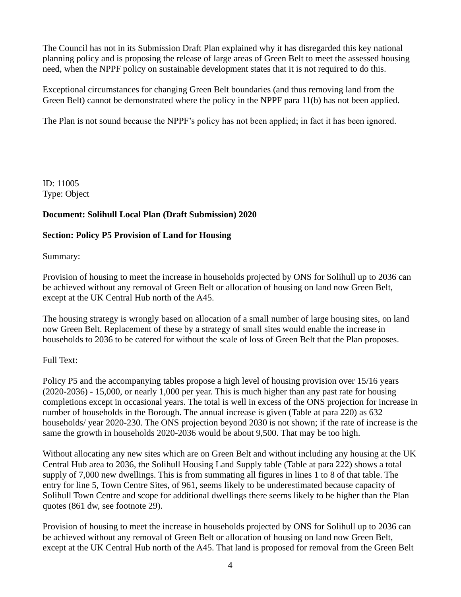The Council has not in its Submission Draft Plan explained why it has disregarded this key national planning policy and is proposing the release of large areas of Green Belt to meet the assessed housing need, when the NPPF policy on sustainable development states that it is not required to do this.

Exceptional circumstances for changing Green Belt boundaries (and thus removing land from the Green Belt) cannot be demonstrated where the policy in the NPPF para 11(b) has not been applied.

The Plan is not sound because the NPPF's policy has not been applied; in fact it has been ignored.

ID: 11005 Type: Object

### **Document: Solihull Local Plan (Draft Submission) 2020**

### **Section: Policy P5 Provision of Land for Housing**

Summary:

Provision of housing to meet the increase in households projected by ONS for Solihull up to 2036 can be achieved without any removal of Green Belt or allocation of housing on land now Green Belt, except at the UK Central Hub north of the A45.

The housing strategy is wrongly based on allocation of a small number of large housing sites, on land now Green Belt. Replacement of these by a strategy of small sites would enable the increase in households to 2036 to be catered for without the scale of loss of Green Belt that the Plan proposes.

### Full Text:

Policy P5 and the accompanying tables propose a high level of housing provision over 15/16 years (2020-2036) - 15,000, or nearly 1,000 per year. This is much higher than any past rate for housing completions except in occasional years. The total is well in excess of the ONS projection for increase in number of households in the Borough. The annual increase is given (Table at para 220) as 632 households/ year 2020-230. The ONS projection beyond 2030 is not shown; if the rate of increase is the same the growth in households 2020-2036 would be about 9,500. That may be too high.

Without allocating any new sites which are on Green Belt and without including any housing at the UK Central Hub area to 2036, the Solihull Housing Land Supply table (Table at para 222) shows a total supply of 7,000 new dwellings. This is from summating all figures in lines 1 to 8 of that table. The entry for line 5, Town Centre Sites, of 961, seems likely to be underestimated because capacity of Solihull Town Centre and scope for additional dwellings there seems likely to be higher than the Plan quotes (861 dw, see footnote 29).

Provision of housing to meet the increase in households projected by ONS for Solihull up to 2036 can be achieved without any removal of Green Belt or allocation of housing on land now Green Belt, except at the UK Central Hub north of the A45. That land is proposed for removal from the Green Belt